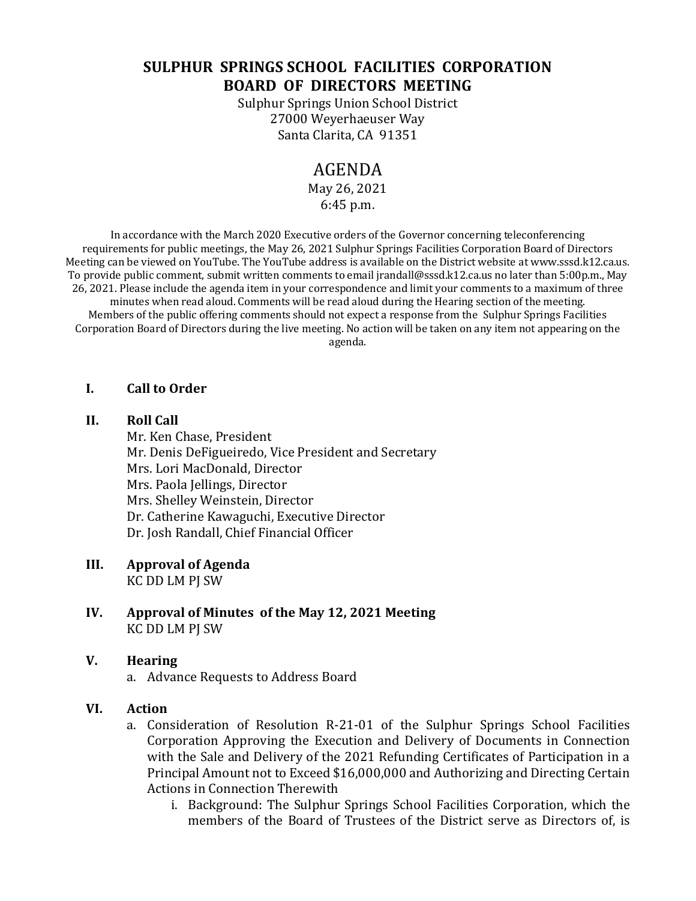# **SULPHUR SPRINGS SCHOOL FACILITIES CORPORATION BOARD OF DIRECTORS MEETING**

Sulphur Springs Union School District 27000 Weyerhaeuser Way Santa Clarita, CA 91351

## AGENDA

May 26, 2021 6:45 p.m.

In accordance with the March 2020 Executive orders of the Governor concerning teleconferencing requirements for public meetings, the May 26, 2021 Sulphur Springs Facilities Corporation Board of Directors Meeting can be viewed on YouTube. The YouTube address is available on the District website at www.sssd.k12.ca.us. To provide public comment, submit written comments to email jrandall@sssd.k12.ca.us no later than 5:00p.m., May 26, 2021. Please include the agenda item in your correspondence and limit your comments to a maximum of three minutes when read aloud. Comments will be read aloud during the Hearing section of the meeting. Members of the public offering comments should not expect a response from the Sulphur Springs Facilities Corporation Board of Directors during the live meeting. No action will be taken on any item not appearing on the agenda.

## **I. Call to Order**

#### **II. Roll Call**

Mr. Ken Chase, President Mr. Denis DeFigueiredo, Vice President and Secretary Mrs. Lori MacDonald, Director Mrs. Paola Jellings, Director Mrs. Shelley Weinstein, Director Dr. Catherine Kawaguchi, Executive Director Dr. Josh Randall, Chief Financial Officer

## **III. Approval of Agenda**

KC DD LM PJ SW

**IV. Approval of Minutes of the May 12, 2021 Meeting** KC DD LM PJ SW

### **V. Hearing**

a. Advance Requests to Address Board

### **VI. Action**

- a. Consideration of Resolution R-21-01 of the Sulphur Springs School Facilities Corporation Approving the Execution and Delivery of Documents in Connection with the Sale and Delivery of the 2021 Refunding Certificates of Participation in a Principal Amount not to Exceed \$16,000,000 and Authorizing and Directing Certain Actions in Connection Therewith
	- i. Background: The Sulphur Springs School Facilities Corporation, which the members of the Board of Trustees of the District serve as Directors of, is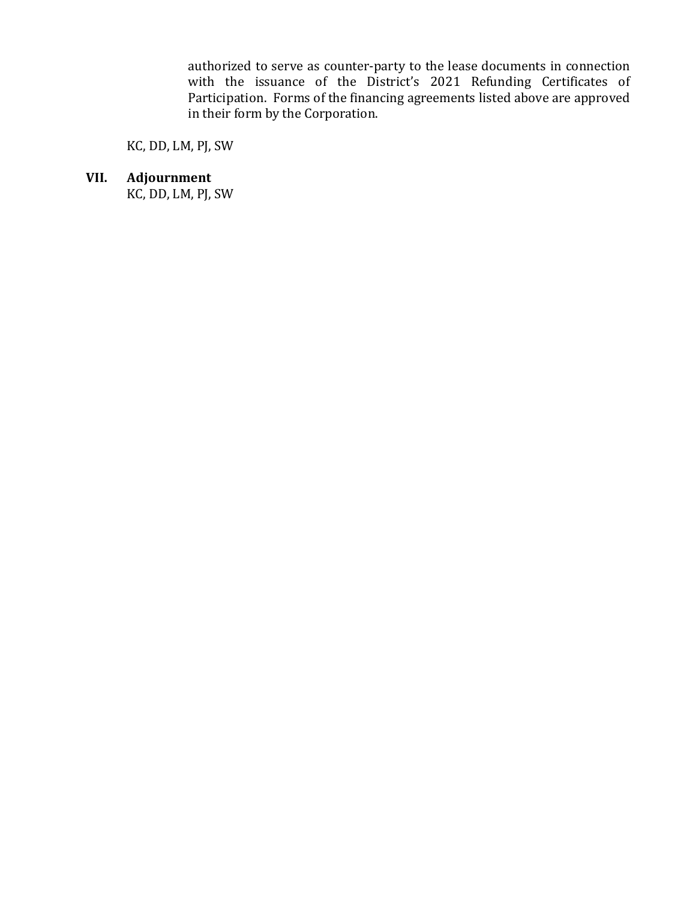authorized to serve as counter-party to the lease documents in connection with the issuance of the District's 2021 Refunding Certificates of Participation. Forms of the financing agreements listed above are approved in their form by the Corporation.

KC, DD, LM, PJ, SW

**VII. Adjournment**

KC, DD, LM, PJ, SW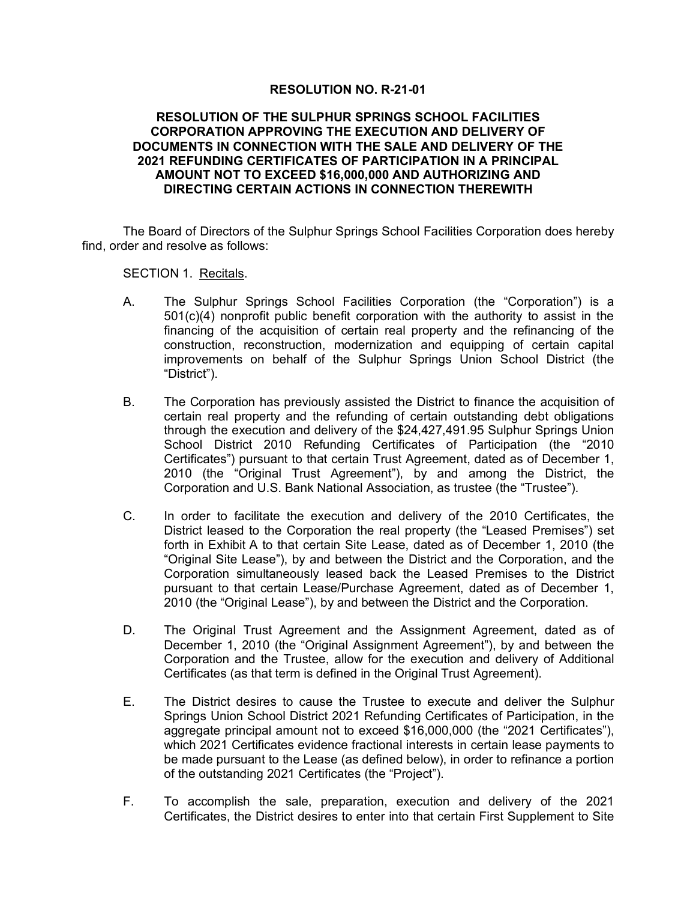#### **RESOLUTION NO. R-21-01**

#### **RESOLUTION OF THE SULPHUR SPRINGS SCHOOL FACILITIES CORPORATION APPROVING THE EXECUTION AND DELIVERY OF DOCUMENTS IN CONNECTION WITH THE SALE AND DELIVERY OF THE 2021 REFUNDING CERTIFICATES OF PARTICIPATION IN A PRINCIPAL AMOUNT NOT TO EXCEED \$16,000,000 AND AUTHORIZING AND DIRECTING CERTAIN ACTIONS IN CONNECTION THEREWITH**

The Board of Directors of the Sulphur Springs School Facilities Corporation does hereby find, order and resolve as follows:

SECTION 1. Recitals.

- A. The Sulphur Springs School Facilities Corporation (the "Corporation") is a 501(c)(4) nonprofit public benefit corporation with the authority to assist in the financing of the acquisition of certain real property and the refinancing of the construction, reconstruction, modernization and equipping of certain capital improvements on behalf of the Sulphur Springs Union School District (the "District").
- B. The Corporation has previously assisted the District to finance the acquisition of certain real property and the refunding of certain outstanding debt obligations through the execution and delivery of the \$24,427,491.95 Sulphur Springs Union School District 2010 Refunding Certificates of Participation (the "2010 Certificates") pursuant to that certain Trust Agreement, dated as of December 1, 2010 (the "Original Trust Agreement"), by and among the District, the Corporation and U.S. Bank National Association, as trustee (the "Trustee").
- C. In order to facilitate the execution and delivery of the 2010 Certificates, the District leased to the Corporation the real property (the "Leased Premises") set forth in Exhibit A to that certain Site Lease, dated as of December 1, 2010 (the "Original Site Lease"), by and between the District and the Corporation, and the Corporation simultaneously leased back the Leased Premises to the District pursuant to that certain Lease/Purchase Agreement, dated as of December 1, 2010 (the "Original Lease"), by and between the District and the Corporation.
- D. The Original Trust Agreement and the Assignment Agreement, dated as of December 1, 2010 (the "Original Assignment Agreement"), by and between the Corporation and the Trustee, allow for the execution and delivery of Additional Certificates (as that term is defined in the Original Trust Agreement).
- E. The District desires to cause the Trustee to execute and deliver the Sulphur Springs Union School District 2021 Refunding Certificates of Participation, in the aggregate principal amount not to exceed \$16,000,000 (the "2021 Certificates"), which 2021 Certificates evidence fractional interests in certain lease payments to be made pursuant to the Lease (as defined below), in order to refinance a portion of the outstanding 2021 Certificates (the "Project").
- F. To accomplish the sale, preparation, execution and delivery of the 2021 Certificates, the District desires to enter into that certain First Supplement to Site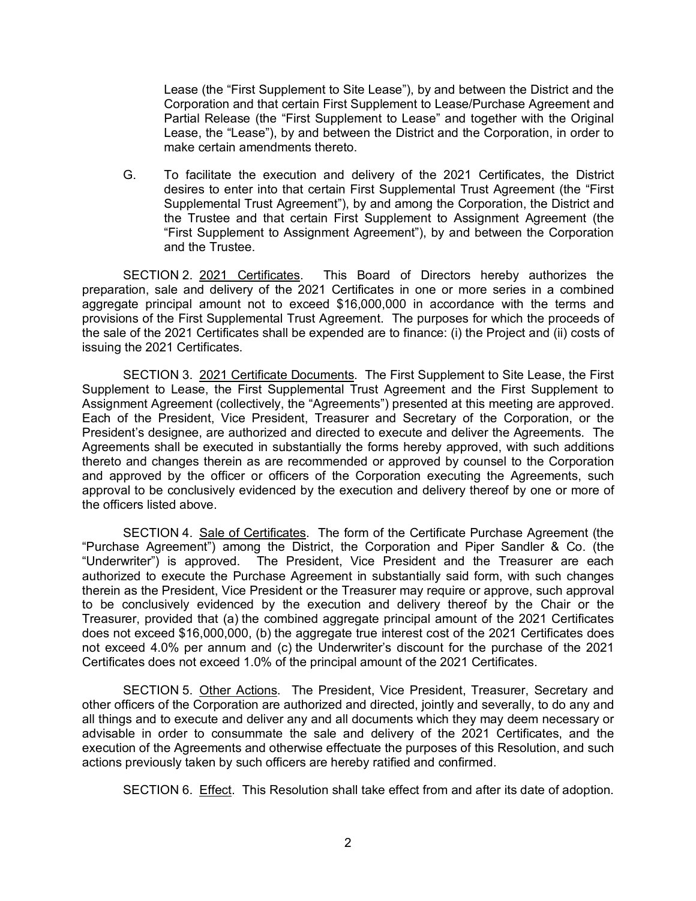Lease (the "First Supplement to Site Lease"), by and between the District and the Corporation and that certain First Supplement to Lease/Purchase Agreement and Partial Release (the "First Supplement to Lease" and together with the Original Lease, the "Lease"), by and between the District and the Corporation, in order to make certain amendments thereto.

G. To facilitate the execution and delivery of the 2021 Certificates, the District desires to enter into that certain First Supplemental Trust Agreement (the "First Supplemental Trust Agreement"), by and among the Corporation, the District and the Trustee and that certain First Supplement to Assignment Agreement (the "First Supplement to Assignment Agreement"), by and between the Corporation and the Trustee.

SECTION 2. 2021 Certificates. This Board of Directors hereby authorizes the preparation, sale and delivery of the 2021 Certificates in one or more series in a combined aggregate principal amount not to exceed \$16,000,000 in accordance with the terms and provisions of the First Supplemental Trust Agreement. The purposes for which the proceeds of the sale of the 2021 Certificates shall be expended are to finance: (i) the Project and (ii) costs of issuing the 2021 Certificates.

SECTION 3. 2021 Certificate Documents. The First Supplement to Site Lease, the First Supplement to Lease, the First Supplemental Trust Agreement and the First Supplement to Assignment Agreement (collectively, the "Agreements") presented at this meeting are approved. Each of the President, Vice President, Treasurer and Secretary of the Corporation, or the President's designee, are authorized and directed to execute and deliver the Agreements. The Agreements shall be executed in substantially the forms hereby approved, with such additions thereto and changes therein as are recommended or approved by counsel to the Corporation and approved by the officer or officers of the Corporation executing the Agreements, such approval to be conclusively evidenced by the execution and delivery thereof by one or more of the officers listed above.

SECTION 4. Sale of Certificates. The form of the Certificate Purchase Agreement (the "Purchase Agreement") among the District, the Corporation and Piper Sandler & Co. (the "Underwriter") is approved. The President, Vice President and the Treasurer are each authorized to execute the Purchase Agreement in substantially said form, with such changes therein as the President, Vice President or the Treasurer may require or approve, such approval to be conclusively evidenced by the execution and delivery thereof by the Chair or the Treasurer, provided that (a) the combined aggregate principal amount of the 2021 Certificates does not exceed \$16,000,000, (b) the aggregate true interest cost of the 2021 Certificates does not exceed 4.0% per annum and (c) the Underwriter's discount for the purchase of the 2021 Certificates does not exceed 1.0% of the principal amount of the 2021 Certificates.

SECTION 5. Other Actions. The President, Vice President, Treasurer, Secretary and other officers of the Corporation are authorized and directed, jointly and severally, to do any and all things and to execute and deliver any and all documents which they may deem necessary or advisable in order to consummate the sale and delivery of the 2021 Certificates, and the execution of the Agreements and otherwise effectuate the purposes of this Resolution, and such actions previously taken by such officers are hereby ratified and confirmed.

SECTION 6. Effect. This Resolution shall take effect from and after its date of adoption.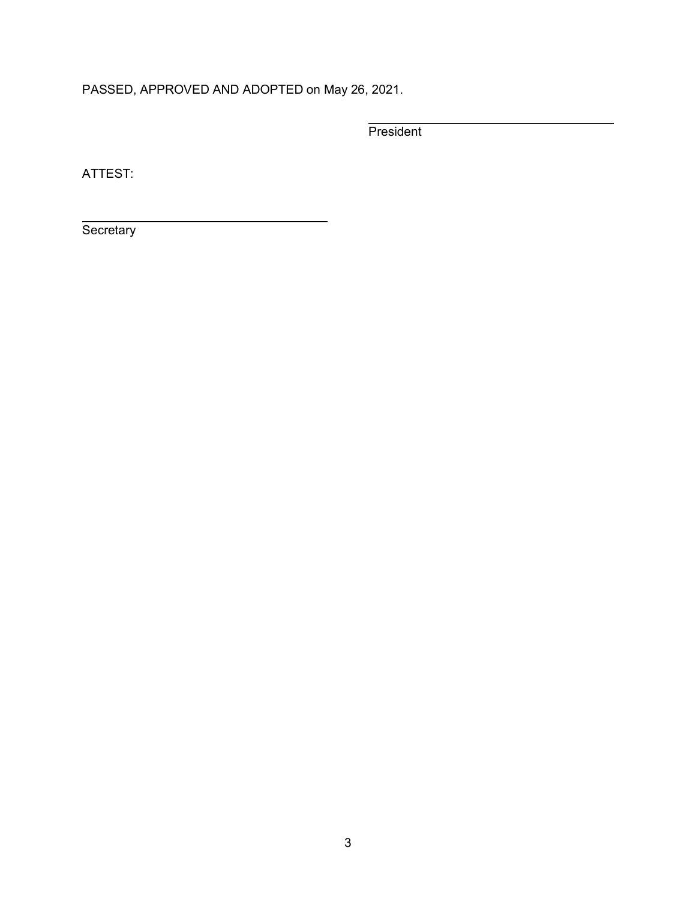PASSED, APPROVED AND ADOPTED on May 26, 2021.

**President** 

ATTEST:

**Secretary**